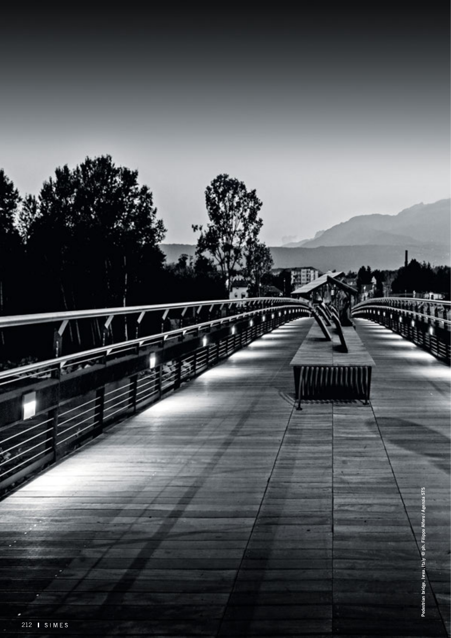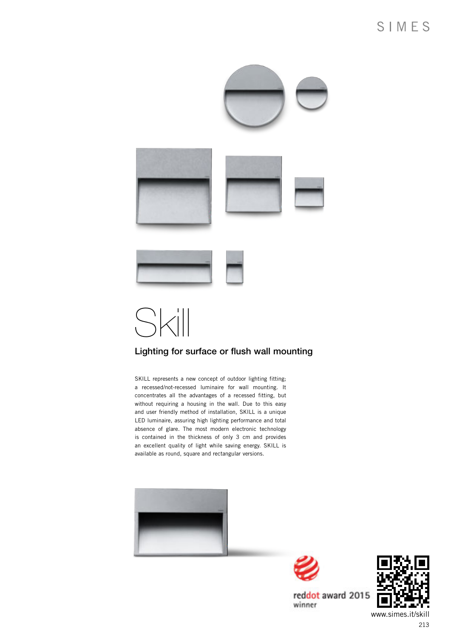

# Skill

### Lighting for surface or flush wall mounting

SKILL represents a new concept of outdoor lighting fitting: a recessed/not-recessed luminaire for wall mounting. It concentrates all the advantages of a recessed fitting, but without requiring a housing in the wall. Due to this easy and user friendly method of installation, SKILL is a unique LED luminaire, assuring high lighting performance and total absence of glare. The most modern electronic technology is contained in the thickness of only 3 cm and provides an excellent quality of light while saving energy. SKILL is available as round, square and rectangular versions.







www.simes.it/skill 213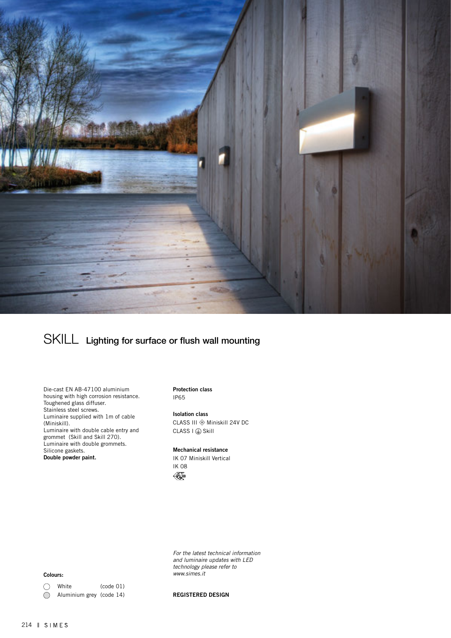

## SKILL Lighting for surface or flush wall mounting

Die-cast EN AB-47100 aluminium housing with high corrosion resistance. Toughened glass diffuser. Stainless steel screws. Luminaire supplied with 1m of cable (Miniskill). Luminaire with double cable entry and grommet (Skill and Skill 270). Luminaire with double grommets. Silicone gaskets. Double powder paint.

Protection class IP65

Isolation class CLASS III  $\circledast$  Miniskill 24V DC  $CLASS I @$  Skill

Mechanical resistance

IK 07 Miniskill Vertical IK 08  $\sqrt{\sqrt[2]{3}}$ 

*For the latest technical information and luminaire updates with LED technology please refer to www.simes.it* 

#### Colours:

White (code 01)  $\bigcirc$ Aluminium grey (code 14)

REGISTERED DESIGN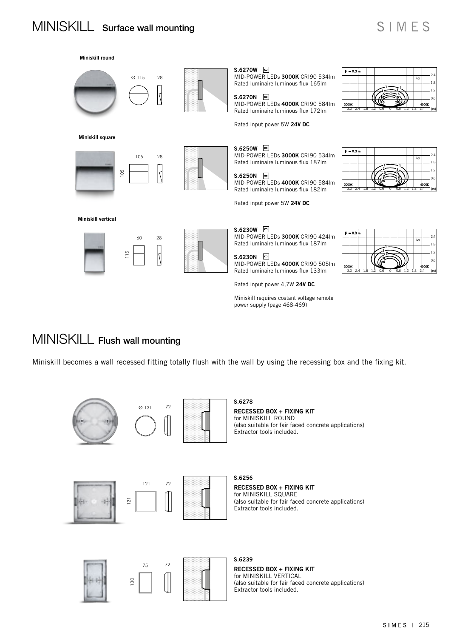### MINISKILL Surface wall mounting

### SIMES



### MINISKILL Flush wall mounting

Miniskill becomes a wall recessed fitting totally flush with the wall by using the recessing box and the fixing kit.







S.6278

RECESSED BOX + FIXING KIT for MINISKILL ROUND (also suitable for fair faced concrete applications) Extractor tools included.

121



RECESSED BOX + FIXING KIT for MINISKILL SQUARE (also suitable for fair faced concrete applications) S.6256

Extractor tools included.



S.6239

RECESSED BOX + FIXING KIT for MINISKILL VERTICAL (also suitable for fair faced concrete applications) Extractor tools included.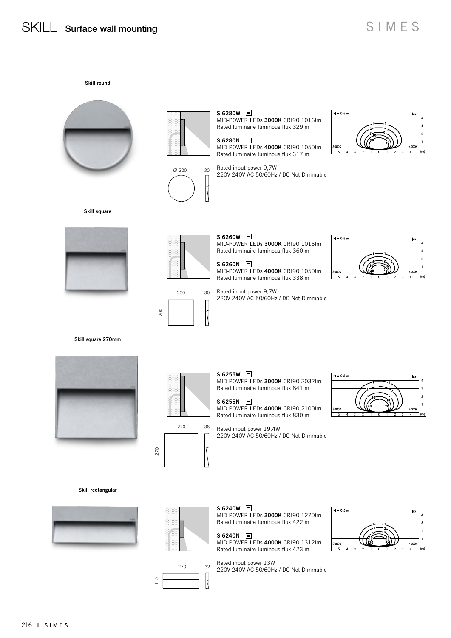Skill round





Ø 220 30

 $\sqrt{2}$ 

MID-POWER LEDs 3000K CRI90 1016lm Rated luminaire luminous flux 329lm

S.6280W

MID-POWER LEDs 4000K CRI90 1050lm Rated luminaire luminous flux 317lm S.6280N  $\Box$ 

Rated input power 9,7W 220V-240V AC 50/60Hz / DC Not Dimmable









MID-POWER LEDs 3000K CRI90 1016lm Rated luminaire luminous flux 360lm S.6260W

MID-POWER LEDs 4000K CRI90 1050lm Rated luminaire luminous flux 338lm  $S.6260N$ 

 $H = 0.5 m$  $3000K$   $\frac{1}{2}$   $\frac{1}{2}$   $\frac{1}{2}$   $\frac{1}{2}$   $\frac{1}{2}$   $\frac{1}{2}$   $\frac{1}{2}$   $\frac{1}{2}$   $\frac{1}{2}$   $\frac{1}{2}$   $\frac{1}{2}$   $\frac{1}{2}$   $\frac{1}{2}$   $\frac{1}{2}$   $\frac{1}{2}$   $\frac{1}{2}$   $\frac{1}{2}$   $\frac{1}{2}$   $\frac{1}{2}$   $\frac{1}{2}$   $\frac{1}{2}$   $\frac$ 





200

Rated input power 9,7W

220V-240V AC 50/60Hz / DC Not Dimmable

Skill square 270mm





MID-POWER LEDs 3000K CRI90 2032lm Rated luminaire luminous flux 841lm S.6255W

### S.6255N

MID-POWER LEDs 4000K CRI90 2100lm Rated luminaire luminous flux 830lm

 $H = 0.5 m$  $3000K$   $3000K$   $4000K$ 

Rated input power 19,4W 220V-240V AC 50/60Hz / DC Not Dimmable

Skill rectangular





115

270 32

 $\sqrt{2}$ 



MID-POWER LEDs 3000K CRI90 1270lm Rated luminaire luminous flux 422lm

S.6240N

MID-POWER LEDs 4000K CRI90 1312lm Rated luminaire luminous flux 423lm

Rated input power 13W 220V-240V AC 50/60Hz / DC Not Dimmable

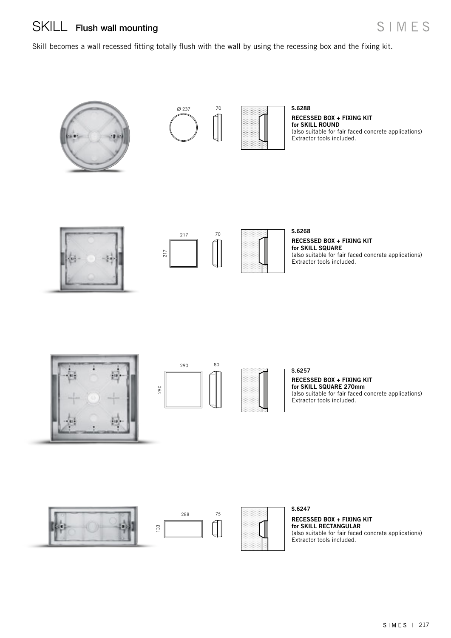## SKILL Flush wall mounting

Skill becomes a wall recessed fitting totally flush with the wall by using the recessing box and the fixing kit.

Ø 237 70



RECESSED BOX + FIXING KIT for SKILL ROUND (also suitable for fair faced concrete applications) Extractor tools included. S.6288

RECESSED BOX + FIXING KIT for SKILL SQUARE 270mm

(also suitable for fair faced concrete applications) Extractor tools included.

#### RECESSED BOX + FIXING KIT for SKILL RECTANGULAR (also suitable for fair faced concrete applications) Extractor tools included.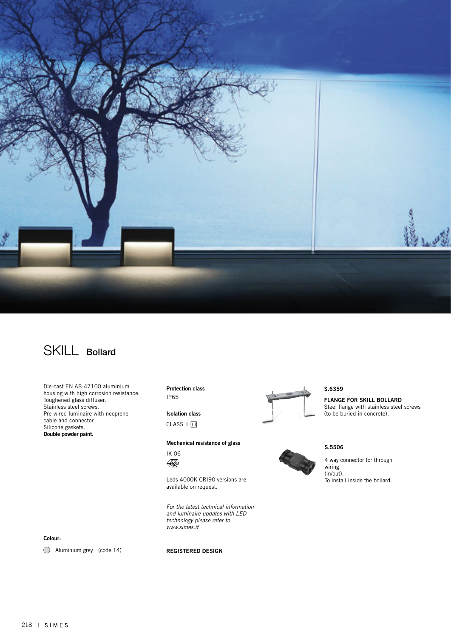

### SKILL Bollard

Die-cast EN AB-47100 aluminium housing with high corrosion resistance. Toughened glass diffuser. Stainless steel screws. Pre-wired luminaire with neoprene cable and connector. Silicone gaskets. Double powder paint.

Protection class IP65

Isolation class  $CLASS II  $\Box$$ 

#### Mechanical resistance of glass

IK 06  $\sqrt{\frac{2}{3}}$ 03

Leds 4000K CRI90 versions are available on request.

*For the latest technical information and luminaire updates with LED technology please refer to www.simes.it* 

#### REGISTERED DESIGN



### S.6359

FLANGE FOR SKILL BOLLARD Steel flange with stainless steel screws (to be buried in concrete).

### S.5506

4 way connector for through wiring (in/out). To install inside the bollard.

Colour:

Aluminium grey (code 14)

218 || SIMES